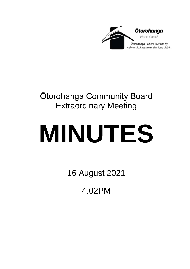

## Ōtorohanga Community Board Extraordinary Meeting

# **MINUTES**

16 August 2021

4.02PM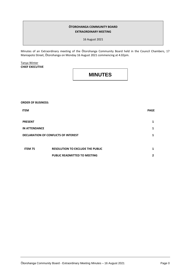#### **ŌTOROHANGA COMMUNITY BOARD EXTRAORDINARY MEETING**

16 August 2021

Minutes of an Extraordinary meeting of the Ōtorohanga Community Board held in the Council Chambers, 17 Maniapoto Street, Ōtorohanga on Monday 16 August 2021 commencing at 4.02pm.

Tanya Winter **CHIEF EXECUTIVE**

### **MINUTES**

**ORDER OF BUSINESS:**

| <b>ITEM</b>                                 |                                         | <b>PAGE</b>  |
|---------------------------------------------|-----------------------------------------|--------------|
| <b>PRESENT</b>                              |                                         | 1            |
| <b>IN ATTENDANCE</b>                        |                                         | 1            |
| <b>DECLARATION OF CONFLICTS OF INTEREST</b> |                                         |              |
|                                             |                                         |              |
| <b>ITEM 75</b>                              | <b>RESOLUTION TO EXCLUDE THE PUBLIC</b> | 1            |
|                                             | <b>PUBLIC READMITTED TO MEETING</b>     | $\mathbf{2}$ |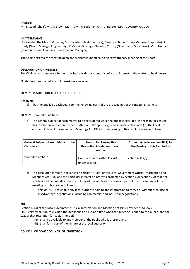#### **PRESENT**

Mr. N Gadd (Chair), Mrs. K Brown-Merrin, Mr. A Buckman, Cr. K Christison, Mr. P Coventry, Cr. Dow.

#### **IN ATTENDANCE**

His Worship the Mayor M Baxter, Ms T Winter (Chief Executive), Messrs. G Bunn (Group Manager Corporate), R Brady (Group Manager Engineering), R McNeil (Strategic Planner), C Tutty (Governance Supervisor), Ms T Ambury (Community and Economic Development Manager).

The Chair declared the meeting open and welcomed members to an extraordinary meeting of the Board.

#### **DECLARATION OF INTEREST**

The Chair asked members whether they had any declarations of conflicts of interest in the matter to be discussed.

No declarations of conflicts of interest were received.

#### **ITEM 75 RESOLUTION TO EXCLUDE THE PUBLIC**

#### **Resolved;**

- a) that the public be excluded from the following parts of the proceedings of this meeting, namely,-
- **ITEM 76** Property Purchase
	- b) The general subject of each matter to be considered while the public is excluded, the reason for passing this resolution in relation to each matter, and the specific grounds under section 48(1) of the Local Government Official Information and Meetings Act 1987 for the passing of this resolution are as follows:

| General Subject of each Matter to be<br><b>Considered</b> | <b>Reason for Passing this</b><br>Resolution in relation to each<br>matter | Ground(s) under section 48(1) for<br>the Passing of this Resolution |
|-----------------------------------------------------------|----------------------------------------------------------------------------|---------------------------------------------------------------------|
| <b>Property Purchase</b>                                  | Good reason to withhold exists<br>under section 7                          | Section $48(1)(a)$                                                  |

- c) This resolution is made in reliance on [section 48\(1\)\(a\)](http://www.legislation.govt.nz/act/public/1987/0174/latest/whole.html#DLM123095) of the Local Government Official Information and Meetings Act 1987 and the particular interest or interests protected by section 6 o[r section 7](http://www.legislation.govt.nz/act/public/1987/0174/latest/whole.html#DLM122287) of that Act, which would be prejudiced by the holding of the whole or the relevant part of the proceedings of the meeting in public are as follows:
	- Section 7(2)(i) to enable any local authority holding the information to carry on, without prejudice or disadvantage, negotiations (including commercial and industrial negotiations).

#### **NOTE**

Section 48(4) of the Local Government Official Information and Meeting Act 1987 provides as follows: "(4) Every resolution to exclude the public shall be put at a time when the meeting is open to the public, and the text of that resolution (or copies thereof)-

- (a) Shall be available to any member of the public who is present; and
- (b) Shall form part of the minute of the local authority.

#### **COUNCILLOR DOW / COUNCILLOR CHRISTISON**